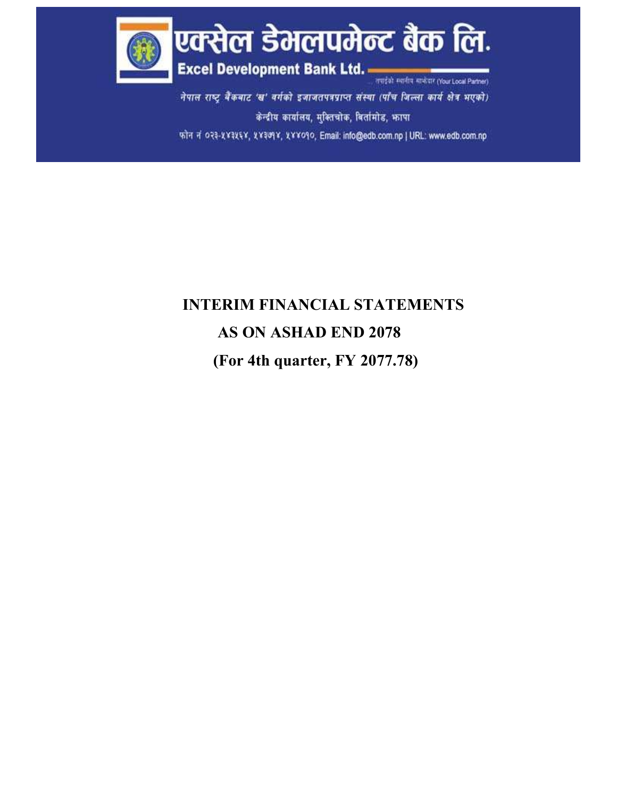

नेपाल राष्ट्र बैंकबाट 'ख' वर्गको इजाजतपत्रप्राप्त संस्था (पाँच जिल्ला कार्य क्षेत्र भएको) केन्द्रीय कार्यालय, मुक्तिचोक, बिर्तामोड, फ़ापा फोन नं ०२३-५४३५६४, ५४३७१४, ५४४०१०, Email: info@edb.com.np | URL: www.edb.com.np

# INTERIM FINANCIAL STATEMENTS AS ON ASHAD END 2078 (For 4th quarter, FY 2077.78)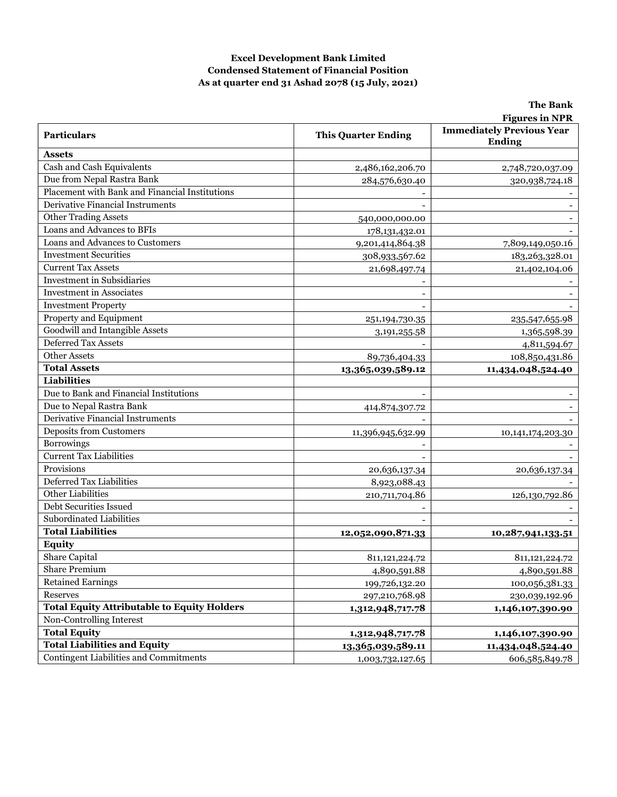#### Excel Development Bank Limited Condensed Statement of Financial Position As at quarter end 31 Ashad 2078 (15 July, 2021)

|                                                    |                            | <b>Figures in NPR</b>                             |
|----------------------------------------------------|----------------------------|---------------------------------------------------|
| <b>Particulars</b>                                 | <b>This Quarter Ending</b> | <b>Immediately Previous Year</b><br><b>Ending</b> |
| <b>Assets</b>                                      |                            |                                                   |
| Cash and Cash Equivalents                          | 2,486,162,206.70           | 2,748,720,037.09                                  |
| Due from Nepal Rastra Bank                         | 284,576,630.40             | 320,938,724.18                                    |
| Placement with Bank and Financial Institutions     |                            |                                                   |
| Derivative Financial Instruments                   |                            |                                                   |
| <b>Other Trading Assets</b>                        | 540,000,000.00             |                                                   |
| Loans and Advances to BFIs                         | 178, 131, 432. 01          |                                                   |
| Loans and Advances to Customers                    | 9,201,414,864.38           | 7,809,149,050.16                                  |
| <b>Investment Securities</b>                       | 308,933,567.62             | 183,263,328.01                                    |
| <b>Current Tax Assets</b>                          | 21,698,497.74              | 21,402,104.06                                     |
| <b>Investment</b> in Subsidiaries                  |                            |                                                   |
| <b>Investment</b> in Associates                    |                            |                                                   |
| <b>Investment Property</b>                         |                            |                                                   |
| Property and Equipment                             | 251,194,730.35             | 235,547,655.98                                    |
| Goodwill and Intangible Assets                     | 3, 191, 255.58             | 1,365,598.39                                      |
| Deferred Tax Assets                                |                            | 4,811,594.67                                      |
| <b>Other Assets</b>                                | 89,736,404.33              | 108,850,431.86                                    |
| <b>Total Assets</b>                                | 13,365,039,589.12          | 11,434,048,524.40                                 |
| <b>Liabilities</b>                                 |                            |                                                   |
| Due to Bank and Financial Institutions             |                            |                                                   |
| Due to Nepal Rastra Bank                           | 414,874,307.72             |                                                   |
| <b>Derivative Financial Instruments</b>            |                            |                                                   |
| <b>Deposits from Customers</b>                     | 11,396,945,632.99          | 10,141,174,203.30                                 |
| Borrowings                                         |                            |                                                   |
| <b>Current Tax Liabilities</b>                     |                            |                                                   |
| Provisions                                         | 20,636,137.34              | 20,636,137.34                                     |
| Deferred Tax Liabilities                           | 8,923,088.43               |                                                   |
| Other Liabilities                                  | 210,711,704.86             | 126,130,792.86                                    |
| Debt Securities Issued                             |                            |                                                   |
| Subordinated Liabilities                           |                            |                                                   |
| <b>Total Liabilities</b>                           | 12,052,090,871.33          | 10,287,941,133.51                                 |
| <b>Equity</b>                                      |                            |                                                   |
| Share Capital                                      | 811,121,224.72             | 811, 121, 224. 72                                 |
| Share Premium                                      | 4,890,591.88               | 4,890,591.88                                      |
| <b>Retained Earnings</b>                           | 199,726,132.20             | 100,056,381.33                                    |
| Reserves                                           | 297,210,768.98             | 230,039,192.96                                    |
| <b>Total Equity Attributable to Equity Holders</b> | 1,312,948,717.78           | 1,146,107,390.90                                  |
| Non-Controlling Interest                           |                            |                                                   |
| <b>Total Equity</b>                                | 1,312,948,717.78           | 1,146,107,390.90                                  |
| <b>Total Liabilities and Equity</b>                | 13,365,039,589.11          | 11,434,048,524.40                                 |
| Contingent Liabilities and Commitments             | 1,003,732,127.65           | 606,585,849.78                                    |

The Bank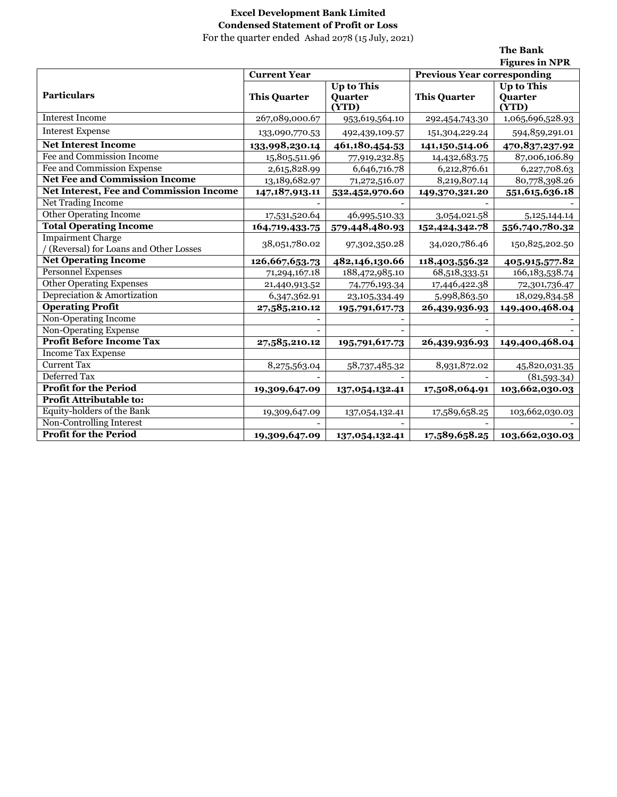# Excel Development Bank Limited Condensed Statement of Profit or Loss

For the quarter ended Ashad 2078 (15 July, 2021)

The Bank

|                                                                     |                     |                                       |                                    | <b>Figures in NPR</b>                 |
|---------------------------------------------------------------------|---------------------|---------------------------------------|------------------------------------|---------------------------------------|
|                                                                     | <b>Current Year</b> |                                       | <b>Previous Year corresponding</b> |                                       |
| <b>Particulars</b>                                                  | <b>This Quarter</b> | <b>Up to This</b><br>Quarter<br>(YTD) | <b>This Quarter</b>                | <b>Up to This</b><br>Quarter<br>(YTD) |
| <b>Interest Income</b>                                              | 267,089,000.67      | 953,619,564.10                        | 292,454,743.30                     | 1,065,696,528.93                      |
| <b>Interest Expense</b>                                             | 133,090,770.53      | 492,439,109.57                        | 151,304,229.24                     | 594,859,291.01                        |
| <b>Net Interest Income</b>                                          | 133,998,230.14      | 461,180,454.53                        | 141,150,514.06                     | 470,837,237.92                        |
| Fee and Commission Income                                           | 15,805,511.96       | 77,919,232.85                         | 14,432,683.75                      | 87,006,106.89                         |
| Fee and Commission Expense                                          | 2,615,828.99        | 6,646,716.78                          | 6,212,876.61                       | 6,227,708.63                          |
| <b>Net Fee and Commission Income</b>                                | 13,189,682.97       | 71,272,516.07                         | 8,219,807.14                       | 80,778,398.26                         |
| Net Interest, Fee and Commission Income                             | 147,187,913.11      | 532,452,970.60                        | 149,370,321.20                     | 551,615,636.18                        |
| <b>Net Trading Income</b>                                           |                     |                                       |                                    |                                       |
| <b>Other Operating Income</b>                                       | 17,531,520.64       | 46,995,510.33                         | 3,054,021.58                       | 5, 125, 144. 14                       |
| <b>Total Operating Income</b>                                       | 164,719,433.75      | 579,448,480.93                        | 152,424,342.78                     | 556,740,780.32                        |
| <b>Impairment Charge</b><br>/ (Reversal) for Loans and Other Losses | 38,051,780.02       | 97,302,350.28                         | 34,020,786.46                      | 150,825,202.50                        |
| <b>Net Operating Income</b>                                         | 126,667,653.73      | 482,146,130.66                        | 118,403,556.32                     | 405,915,577.82                        |
| <b>Personnel Expenses</b>                                           | 71,294,167.18       | 188,472,985.10                        | 68,518,333.51                      | 166, 183, 538. 74                     |
| <b>Other Operating Expenses</b>                                     | 21,440,913.52       | 74,776,193.34                         | 17,446,422.38                      | 72,301,736.47                         |
| Depreciation & Amortization                                         | 6,347,362.91        | 23,105,334.49                         | 5,998,863.50                       | 18,029,834.58                         |
| <b>Operating Profit</b>                                             | 27,585,210.12       | 195,791,617.73                        | 26,439,936.93                      | 149,400,468.04                        |
| Non-Operating Income                                                |                     |                                       |                                    |                                       |
| Non-Operating Expense                                               |                     |                                       |                                    |                                       |
| <b>Profit Before Income Tax</b>                                     | 27,585,210.12       | 195,791,617.73                        | 26,439,936.93                      | 149,400,468.04                        |
| <b>Income Tax Expense</b>                                           |                     |                                       |                                    |                                       |
| <b>Current Tax</b>                                                  | 8,275,563.04        | 58,737,485.32                         | 8,931,872.02                       | 45,820,031.35                         |
| Deferred Tax                                                        |                     |                                       |                                    | (81,593.34)                           |
| <b>Profit for the Period</b>                                        | 19,309,647.09       | 137,054,132.41                        | 17,508,064.91                      | 103,662,030.03                        |
| Profit Attributable to:                                             |                     |                                       |                                    |                                       |
| Equity-holders of the Bank                                          | 19,309,647.09       | 137,054,132.41                        | 17,589,658.25                      | 103,662,030.03                        |
| Non-Controlling Interest                                            |                     |                                       |                                    |                                       |
| <b>Profit for the Period</b>                                        | 19,309,647.09       | 137,054,132.41                        | 17,589,658.25                      | 103,662,030.03                        |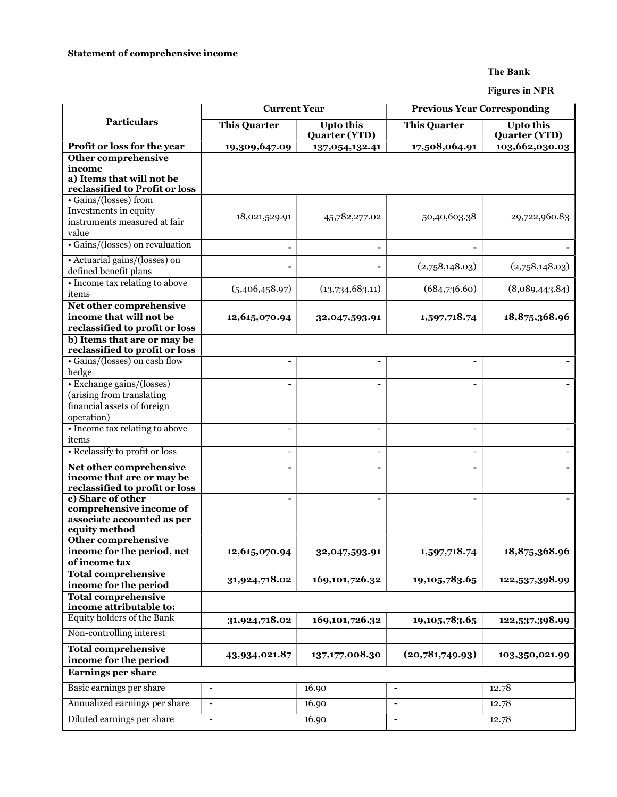#### The Bank

Figures in NPR

| <b>Particulars</b><br><b>This Quarter</b><br><b>Upto this</b><br><b>Upto this</b><br><b>This Quarter</b><br><b>Quarter (YTD)</b><br><b>Quarter (YTD)</b><br>Profit or loss for the year<br>17,508,064.91<br>103,662,030.03<br>19,309,647.09<br>137,054,132.41<br><b>Other comprehensive</b><br>income<br>a) Items that will not be<br>reclassified to Profit or loss<br>· Gains/(losses) from<br>Investments in equity<br>50,40,603.38<br>18,021,529.91<br>45,782,277.02<br>29,722,960.83<br>instruments measured at fair<br>value<br>• Gains/(losses) on revaluation<br>۰<br>• Actuarial gains/(losses) on<br>(2,758,148.03)<br>(2,758,148.03)<br>defined benefit plans<br>• Income tax relating to above<br>(5,406,458.97)<br>(13,734,683.11)<br>(684,736.60)<br>(8,089,443.84)<br>items<br>Net other comprehensive<br>income that will not be<br>12,615,070.94<br>1,597,718.74<br>18,875,368.96<br>32,047,593.91<br>reclassified to profit or loss<br>b) Items that are or may be<br>reclassified to profit or loss<br>• Gains/(losses) on cash flow<br>$\overline{\phantom{0}}$<br>$\overline{\phantom{a}}$<br>hedge<br>• Exchange gains/(losses)<br>$\overline{a}$<br>$\overline{\phantom{0}}$<br>(arising from translating<br>financial assets of foreign<br>operation)<br>• Income tax relating to above<br>$\overline{\phantom{a}}$<br>$\blacksquare$<br>items<br>• Reclassify to profit or loss<br>$\overline{\phantom{a}}$<br>$\overline{\phantom{a}}$<br>Net other comprehensive<br>۰<br>۰<br>income that are or may be<br>reclassified to profit or loss<br>c) Share of other<br>۰<br>۰<br>comprehensive income of<br>associate accounted as per<br>equity method<br><b>Other comprehensive</b><br>income for the period, net<br>18,875,368.96<br>12,615,070.94<br>32,047,593.91<br>1,597,718.74<br>of income tax<br><b>Total comprehensive</b><br>169,101,726.32<br>19, 105, 783.65<br>31,924,718.02<br>122,537,398.99<br>income for the period<br><b>Total comprehensive</b><br>income attributable to:<br>Equity holders of the Bank<br>169,101,726.32<br>31,924,718.02<br>122,537,398.99<br>19, 105, 783.65<br>Non-controlling interest<br><b>Total comprehensive</b><br>(20,781,749.93)<br>43,934,021.87<br>137,177,008.30<br>103,350,021.99<br>income for the period<br><b>Earnings per share</b><br>Basic earnings per share<br>16.90<br>12.78<br>$\blacksquare$<br>$\overline{\phantom{a}}$<br>Annualized earnings per share<br>16.90<br>12.78<br>$\overline{\phantom{a}}$<br>Diluted earnings per share<br>$\mathbb{L}$<br>16.90<br>$\blacksquare$<br>12.78 | <b>Current Year</b> |  | <b>Previous Year Corresponding</b> |  |  |
|----------------------------------------------------------------------------------------------------------------------------------------------------------------------------------------------------------------------------------------------------------------------------------------------------------------------------------------------------------------------------------------------------------------------------------------------------------------------------------------------------------------------------------------------------------------------------------------------------------------------------------------------------------------------------------------------------------------------------------------------------------------------------------------------------------------------------------------------------------------------------------------------------------------------------------------------------------------------------------------------------------------------------------------------------------------------------------------------------------------------------------------------------------------------------------------------------------------------------------------------------------------------------------------------------------------------------------------------------------------------------------------------------------------------------------------------------------------------------------------------------------------------------------------------------------------------------------------------------------------------------------------------------------------------------------------------------------------------------------------------------------------------------------------------------------------------------------------------------------------------------------------------------------------------------------------------------------------------------------------------------------------------------------------------------------------------------------------------------------------------------------------------------------------------------------------------------------------------------------------------------------------------------------------------------------------------------------------------------------------------------------------------------------------------------------------------------------------------------------------------------------------------------------------------------------------------------------|---------------------|--|------------------------------------|--|--|
|                                                                                                                                                                                                                                                                                                                                                                                                                                                                                                                                                                                                                                                                                                                                                                                                                                                                                                                                                                                                                                                                                                                                                                                                                                                                                                                                                                                                                                                                                                                                                                                                                                                                                                                                                                                                                                                                                                                                                                                                                                                                                                                                                                                                                                                                                                                                                                                                                                                                                                                                                                                  |                     |  |                                    |  |  |
|                                                                                                                                                                                                                                                                                                                                                                                                                                                                                                                                                                                                                                                                                                                                                                                                                                                                                                                                                                                                                                                                                                                                                                                                                                                                                                                                                                                                                                                                                                                                                                                                                                                                                                                                                                                                                                                                                                                                                                                                                                                                                                                                                                                                                                                                                                                                                                                                                                                                                                                                                                                  |                     |  |                                    |  |  |
|                                                                                                                                                                                                                                                                                                                                                                                                                                                                                                                                                                                                                                                                                                                                                                                                                                                                                                                                                                                                                                                                                                                                                                                                                                                                                                                                                                                                                                                                                                                                                                                                                                                                                                                                                                                                                                                                                                                                                                                                                                                                                                                                                                                                                                                                                                                                                                                                                                                                                                                                                                                  |                     |  |                                    |  |  |
|                                                                                                                                                                                                                                                                                                                                                                                                                                                                                                                                                                                                                                                                                                                                                                                                                                                                                                                                                                                                                                                                                                                                                                                                                                                                                                                                                                                                                                                                                                                                                                                                                                                                                                                                                                                                                                                                                                                                                                                                                                                                                                                                                                                                                                                                                                                                                                                                                                                                                                                                                                                  |                     |  |                                    |  |  |
|                                                                                                                                                                                                                                                                                                                                                                                                                                                                                                                                                                                                                                                                                                                                                                                                                                                                                                                                                                                                                                                                                                                                                                                                                                                                                                                                                                                                                                                                                                                                                                                                                                                                                                                                                                                                                                                                                                                                                                                                                                                                                                                                                                                                                                                                                                                                                                                                                                                                                                                                                                                  |                     |  |                                    |  |  |
|                                                                                                                                                                                                                                                                                                                                                                                                                                                                                                                                                                                                                                                                                                                                                                                                                                                                                                                                                                                                                                                                                                                                                                                                                                                                                                                                                                                                                                                                                                                                                                                                                                                                                                                                                                                                                                                                                                                                                                                                                                                                                                                                                                                                                                                                                                                                                                                                                                                                                                                                                                                  |                     |  |                                    |  |  |
|                                                                                                                                                                                                                                                                                                                                                                                                                                                                                                                                                                                                                                                                                                                                                                                                                                                                                                                                                                                                                                                                                                                                                                                                                                                                                                                                                                                                                                                                                                                                                                                                                                                                                                                                                                                                                                                                                                                                                                                                                                                                                                                                                                                                                                                                                                                                                                                                                                                                                                                                                                                  |                     |  |                                    |  |  |
|                                                                                                                                                                                                                                                                                                                                                                                                                                                                                                                                                                                                                                                                                                                                                                                                                                                                                                                                                                                                                                                                                                                                                                                                                                                                                                                                                                                                                                                                                                                                                                                                                                                                                                                                                                                                                                                                                                                                                                                                                                                                                                                                                                                                                                                                                                                                                                                                                                                                                                                                                                                  |                     |  |                                    |  |  |
|                                                                                                                                                                                                                                                                                                                                                                                                                                                                                                                                                                                                                                                                                                                                                                                                                                                                                                                                                                                                                                                                                                                                                                                                                                                                                                                                                                                                                                                                                                                                                                                                                                                                                                                                                                                                                                                                                                                                                                                                                                                                                                                                                                                                                                                                                                                                                                                                                                                                                                                                                                                  |                     |  |                                    |  |  |
|                                                                                                                                                                                                                                                                                                                                                                                                                                                                                                                                                                                                                                                                                                                                                                                                                                                                                                                                                                                                                                                                                                                                                                                                                                                                                                                                                                                                                                                                                                                                                                                                                                                                                                                                                                                                                                                                                                                                                                                                                                                                                                                                                                                                                                                                                                                                                                                                                                                                                                                                                                                  |                     |  |                                    |  |  |
|                                                                                                                                                                                                                                                                                                                                                                                                                                                                                                                                                                                                                                                                                                                                                                                                                                                                                                                                                                                                                                                                                                                                                                                                                                                                                                                                                                                                                                                                                                                                                                                                                                                                                                                                                                                                                                                                                                                                                                                                                                                                                                                                                                                                                                                                                                                                                                                                                                                                                                                                                                                  |                     |  |                                    |  |  |
|                                                                                                                                                                                                                                                                                                                                                                                                                                                                                                                                                                                                                                                                                                                                                                                                                                                                                                                                                                                                                                                                                                                                                                                                                                                                                                                                                                                                                                                                                                                                                                                                                                                                                                                                                                                                                                                                                                                                                                                                                                                                                                                                                                                                                                                                                                                                                                                                                                                                                                                                                                                  |                     |  |                                    |  |  |
|                                                                                                                                                                                                                                                                                                                                                                                                                                                                                                                                                                                                                                                                                                                                                                                                                                                                                                                                                                                                                                                                                                                                                                                                                                                                                                                                                                                                                                                                                                                                                                                                                                                                                                                                                                                                                                                                                                                                                                                                                                                                                                                                                                                                                                                                                                                                                                                                                                                                                                                                                                                  |                     |  |                                    |  |  |
|                                                                                                                                                                                                                                                                                                                                                                                                                                                                                                                                                                                                                                                                                                                                                                                                                                                                                                                                                                                                                                                                                                                                                                                                                                                                                                                                                                                                                                                                                                                                                                                                                                                                                                                                                                                                                                                                                                                                                                                                                                                                                                                                                                                                                                                                                                                                                                                                                                                                                                                                                                                  |                     |  |                                    |  |  |
|                                                                                                                                                                                                                                                                                                                                                                                                                                                                                                                                                                                                                                                                                                                                                                                                                                                                                                                                                                                                                                                                                                                                                                                                                                                                                                                                                                                                                                                                                                                                                                                                                                                                                                                                                                                                                                                                                                                                                                                                                                                                                                                                                                                                                                                                                                                                                                                                                                                                                                                                                                                  |                     |  |                                    |  |  |
|                                                                                                                                                                                                                                                                                                                                                                                                                                                                                                                                                                                                                                                                                                                                                                                                                                                                                                                                                                                                                                                                                                                                                                                                                                                                                                                                                                                                                                                                                                                                                                                                                                                                                                                                                                                                                                                                                                                                                                                                                                                                                                                                                                                                                                                                                                                                                                                                                                                                                                                                                                                  |                     |  |                                    |  |  |
|                                                                                                                                                                                                                                                                                                                                                                                                                                                                                                                                                                                                                                                                                                                                                                                                                                                                                                                                                                                                                                                                                                                                                                                                                                                                                                                                                                                                                                                                                                                                                                                                                                                                                                                                                                                                                                                                                                                                                                                                                                                                                                                                                                                                                                                                                                                                                                                                                                                                                                                                                                                  |                     |  |                                    |  |  |
|                                                                                                                                                                                                                                                                                                                                                                                                                                                                                                                                                                                                                                                                                                                                                                                                                                                                                                                                                                                                                                                                                                                                                                                                                                                                                                                                                                                                                                                                                                                                                                                                                                                                                                                                                                                                                                                                                                                                                                                                                                                                                                                                                                                                                                                                                                                                                                                                                                                                                                                                                                                  |                     |  |                                    |  |  |
|                                                                                                                                                                                                                                                                                                                                                                                                                                                                                                                                                                                                                                                                                                                                                                                                                                                                                                                                                                                                                                                                                                                                                                                                                                                                                                                                                                                                                                                                                                                                                                                                                                                                                                                                                                                                                                                                                                                                                                                                                                                                                                                                                                                                                                                                                                                                                                                                                                                                                                                                                                                  |                     |  |                                    |  |  |
|                                                                                                                                                                                                                                                                                                                                                                                                                                                                                                                                                                                                                                                                                                                                                                                                                                                                                                                                                                                                                                                                                                                                                                                                                                                                                                                                                                                                                                                                                                                                                                                                                                                                                                                                                                                                                                                                                                                                                                                                                                                                                                                                                                                                                                                                                                                                                                                                                                                                                                                                                                                  |                     |  |                                    |  |  |
|                                                                                                                                                                                                                                                                                                                                                                                                                                                                                                                                                                                                                                                                                                                                                                                                                                                                                                                                                                                                                                                                                                                                                                                                                                                                                                                                                                                                                                                                                                                                                                                                                                                                                                                                                                                                                                                                                                                                                                                                                                                                                                                                                                                                                                                                                                                                                                                                                                                                                                                                                                                  |                     |  |                                    |  |  |
|                                                                                                                                                                                                                                                                                                                                                                                                                                                                                                                                                                                                                                                                                                                                                                                                                                                                                                                                                                                                                                                                                                                                                                                                                                                                                                                                                                                                                                                                                                                                                                                                                                                                                                                                                                                                                                                                                                                                                                                                                                                                                                                                                                                                                                                                                                                                                                                                                                                                                                                                                                                  |                     |  |                                    |  |  |
|                                                                                                                                                                                                                                                                                                                                                                                                                                                                                                                                                                                                                                                                                                                                                                                                                                                                                                                                                                                                                                                                                                                                                                                                                                                                                                                                                                                                                                                                                                                                                                                                                                                                                                                                                                                                                                                                                                                                                                                                                                                                                                                                                                                                                                                                                                                                                                                                                                                                                                                                                                                  |                     |  |                                    |  |  |
|                                                                                                                                                                                                                                                                                                                                                                                                                                                                                                                                                                                                                                                                                                                                                                                                                                                                                                                                                                                                                                                                                                                                                                                                                                                                                                                                                                                                                                                                                                                                                                                                                                                                                                                                                                                                                                                                                                                                                                                                                                                                                                                                                                                                                                                                                                                                                                                                                                                                                                                                                                                  |                     |  |                                    |  |  |
|                                                                                                                                                                                                                                                                                                                                                                                                                                                                                                                                                                                                                                                                                                                                                                                                                                                                                                                                                                                                                                                                                                                                                                                                                                                                                                                                                                                                                                                                                                                                                                                                                                                                                                                                                                                                                                                                                                                                                                                                                                                                                                                                                                                                                                                                                                                                                                                                                                                                                                                                                                                  |                     |  |                                    |  |  |
|                                                                                                                                                                                                                                                                                                                                                                                                                                                                                                                                                                                                                                                                                                                                                                                                                                                                                                                                                                                                                                                                                                                                                                                                                                                                                                                                                                                                                                                                                                                                                                                                                                                                                                                                                                                                                                                                                                                                                                                                                                                                                                                                                                                                                                                                                                                                                                                                                                                                                                                                                                                  |                     |  |                                    |  |  |
|                                                                                                                                                                                                                                                                                                                                                                                                                                                                                                                                                                                                                                                                                                                                                                                                                                                                                                                                                                                                                                                                                                                                                                                                                                                                                                                                                                                                                                                                                                                                                                                                                                                                                                                                                                                                                                                                                                                                                                                                                                                                                                                                                                                                                                                                                                                                                                                                                                                                                                                                                                                  |                     |  |                                    |  |  |
|                                                                                                                                                                                                                                                                                                                                                                                                                                                                                                                                                                                                                                                                                                                                                                                                                                                                                                                                                                                                                                                                                                                                                                                                                                                                                                                                                                                                                                                                                                                                                                                                                                                                                                                                                                                                                                                                                                                                                                                                                                                                                                                                                                                                                                                                                                                                                                                                                                                                                                                                                                                  |                     |  |                                    |  |  |
|                                                                                                                                                                                                                                                                                                                                                                                                                                                                                                                                                                                                                                                                                                                                                                                                                                                                                                                                                                                                                                                                                                                                                                                                                                                                                                                                                                                                                                                                                                                                                                                                                                                                                                                                                                                                                                                                                                                                                                                                                                                                                                                                                                                                                                                                                                                                                                                                                                                                                                                                                                                  |                     |  |                                    |  |  |
|                                                                                                                                                                                                                                                                                                                                                                                                                                                                                                                                                                                                                                                                                                                                                                                                                                                                                                                                                                                                                                                                                                                                                                                                                                                                                                                                                                                                                                                                                                                                                                                                                                                                                                                                                                                                                                                                                                                                                                                                                                                                                                                                                                                                                                                                                                                                                                                                                                                                                                                                                                                  |                     |  |                                    |  |  |
|                                                                                                                                                                                                                                                                                                                                                                                                                                                                                                                                                                                                                                                                                                                                                                                                                                                                                                                                                                                                                                                                                                                                                                                                                                                                                                                                                                                                                                                                                                                                                                                                                                                                                                                                                                                                                                                                                                                                                                                                                                                                                                                                                                                                                                                                                                                                                                                                                                                                                                                                                                                  |                     |  |                                    |  |  |
|                                                                                                                                                                                                                                                                                                                                                                                                                                                                                                                                                                                                                                                                                                                                                                                                                                                                                                                                                                                                                                                                                                                                                                                                                                                                                                                                                                                                                                                                                                                                                                                                                                                                                                                                                                                                                                                                                                                                                                                                                                                                                                                                                                                                                                                                                                                                                                                                                                                                                                                                                                                  |                     |  |                                    |  |  |
|                                                                                                                                                                                                                                                                                                                                                                                                                                                                                                                                                                                                                                                                                                                                                                                                                                                                                                                                                                                                                                                                                                                                                                                                                                                                                                                                                                                                                                                                                                                                                                                                                                                                                                                                                                                                                                                                                                                                                                                                                                                                                                                                                                                                                                                                                                                                                                                                                                                                                                                                                                                  |                     |  |                                    |  |  |
|                                                                                                                                                                                                                                                                                                                                                                                                                                                                                                                                                                                                                                                                                                                                                                                                                                                                                                                                                                                                                                                                                                                                                                                                                                                                                                                                                                                                                                                                                                                                                                                                                                                                                                                                                                                                                                                                                                                                                                                                                                                                                                                                                                                                                                                                                                                                                                                                                                                                                                                                                                                  |                     |  |                                    |  |  |
|                                                                                                                                                                                                                                                                                                                                                                                                                                                                                                                                                                                                                                                                                                                                                                                                                                                                                                                                                                                                                                                                                                                                                                                                                                                                                                                                                                                                                                                                                                                                                                                                                                                                                                                                                                                                                                                                                                                                                                                                                                                                                                                                                                                                                                                                                                                                                                                                                                                                                                                                                                                  |                     |  |                                    |  |  |
|                                                                                                                                                                                                                                                                                                                                                                                                                                                                                                                                                                                                                                                                                                                                                                                                                                                                                                                                                                                                                                                                                                                                                                                                                                                                                                                                                                                                                                                                                                                                                                                                                                                                                                                                                                                                                                                                                                                                                                                                                                                                                                                                                                                                                                                                                                                                                                                                                                                                                                                                                                                  |                     |  |                                    |  |  |
|                                                                                                                                                                                                                                                                                                                                                                                                                                                                                                                                                                                                                                                                                                                                                                                                                                                                                                                                                                                                                                                                                                                                                                                                                                                                                                                                                                                                                                                                                                                                                                                                                                                                                                                                                                                                                                                                                                                                                                                                                                                                                                                                                                                                                                                                                                                                                                                                                                                                                                                                                                                  |                     |  |                                    |  |  |
|                                                                                                                                                                                                                                                                                                                                                                                                                                                                                                                                                                                                                                                                                                                                                                                                                                                                                                                                                                                                                                                                                                                                                                                                                                                                                                                                                                                                                                                                                                                                                                                                                                                                                                                                                                                                                                                                                                                                                                                                                                                                                                                                                                                                                                                                                                                                                                                                                                                                                                                                                                                  |                     |  |                                    |  |  |
|                                                                                                                                                                                                                                                                                                                                                                                                                                                                                                                                                                                                                                                                                                                                                                                                                                                                                                                                                                                                                                                                                                                                                                                                                                                                                                                                                                                                                                                                                                                                                                                                                                                                                                                                                                                                                                                                                                                                                                                                                                                                                                                                                                                                                                                                                                                                                                                                                                                                                                                                                                                  |                     |  |                                    |  |  |
|                                                                                                                                                                                                                                                                                                                                                                                                                                                                                                                                                                                                                                                                                                                                                                                                                                                                                                                                                                                                                                                                                                                                                                                                                                                                                                                                                                                                                                                                                                                                                                                                                                                                                                                                                                                                                                                                                                                                                                                                                                                                                                                                                                                                                                                                                                                                                                                                                                                                                                                                                                                  |                     |  |                                    |  |  |
|                                                                                                                                                                                                                                                                                                                                                                                                                                                                                                                                                                                                                                                                                                                                                                                                                                                                                                                                                                                                                                                                                                                                                                                                                                                                                                                                                                                                                                                                                                                                                                                                                                                                                                                                                                                                                                                                                                                                                                                                                                                                                                                                                                                                                                                                                                                                                                                                                                                                                                                                                                                  |                     |  |                                    |  |  |
|                                                                                                                                                                                                                                                                                                                                                                                                                                                                                                                                                                                                                                                                                                                                                                                                                                                                                                                                                                                                                                                                                                                                                                                                                                                                                                                                                                                                                                                                                                                                                                                                                                                                                                                                                                                                                                                                                                                                                                                                                                                                                                                                                                                                                                                                                                                                                                                                                                                                                                                                                                                  |                     |  |                                    |  |  |
|                                                                                                                                                                                                                                                                                                                                                                                                                                                                                                                                                                                                                                                                                                                                                                                                                                                                                                                                                                                                                                                                                                                                                                                                                                                                                                                                                                                                                                                                                                                                                                                                                                                                                                                                                                                                                                                                                                                                                                                                                                                                                                                                                                                                                                                                                                                                                                                                                                                                                                                                                                                  |                     |  |                                    |  |  |
|                                                                                                                                                                                                                                                                                                                                                                                                                                                                                                                                                                                                                                                                                                                                                                                                                                                                                                                                                                                                                                                                                                                                                                                                                                                                                                                                                                                                                                                                                                                                                                                                                                                                                                                                                                                                                                                                                                                                                                                                                                                                                                                                                                                                                                                                                                                                                                                                                                                                                                                                                                                  |                     |  |                                    |  |  |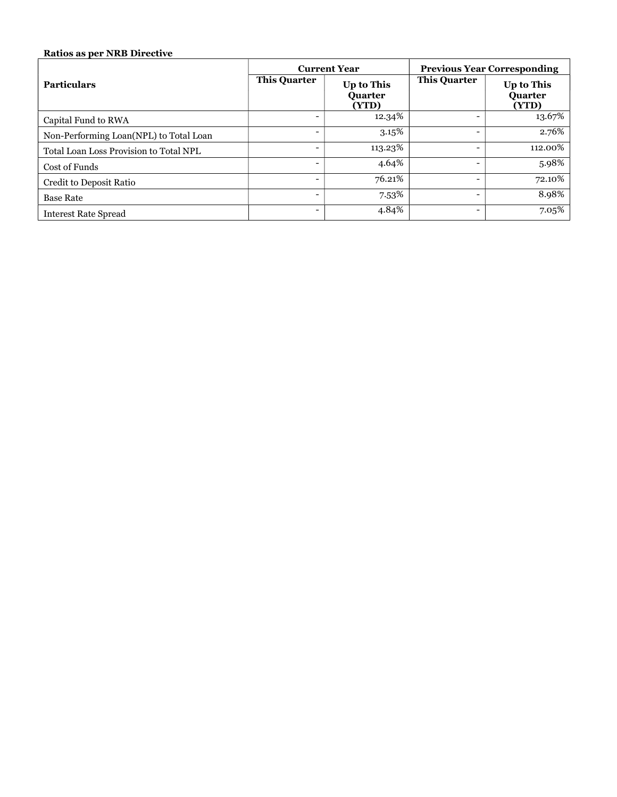#### Ratios as per NRB Directive

|                                        | <b>Current Year</b>      |                                       |                              | <b>Previous Year Corresponding</b>           |
|----------------------------------------|--------------------------|---------------------------------------|------------------------------|----------------------------------------------|
| <b>Particulars</b>                     | <b>This Quarter</b>      | Up to This<br><b>Ouarter</b><br>(YTD) | <b>This Quarter</b>          | <b>Up to This</b><br><b>Ouarter</b><br>(YTD) |
| Capital Fund to RWA                    |                          | 12.34%                                |                              | 13.67%                                       |
| Non-Performing Loan(NPL) to Total Loan |                          | 3.15%                                 |                              | 2.76%                                        |
| Total Loan Loss Provision to Total NPL |                          | 113.23%                               | $\qquad \qquad \blacksquare$ | 112.00%                                      |
| Cost of Funds                          | $\overline{\phantom{0}}$ | 4.64%                                 | $\qquad \qquad \blacksquare$ | 5.98%                                        |
| Credit to Deposit Ratio                |                          | 76.21%                                |                              | 72.10%                                       |
| <b>Base Rate</b>                       |                          | 7.53%                                 |                              | 8.98%                                        |
| <b>Interest Rate Spread</b>            |                          | 4.84%                                 | $\qquad \qquad \blacksquare$ | 7.05%                                        |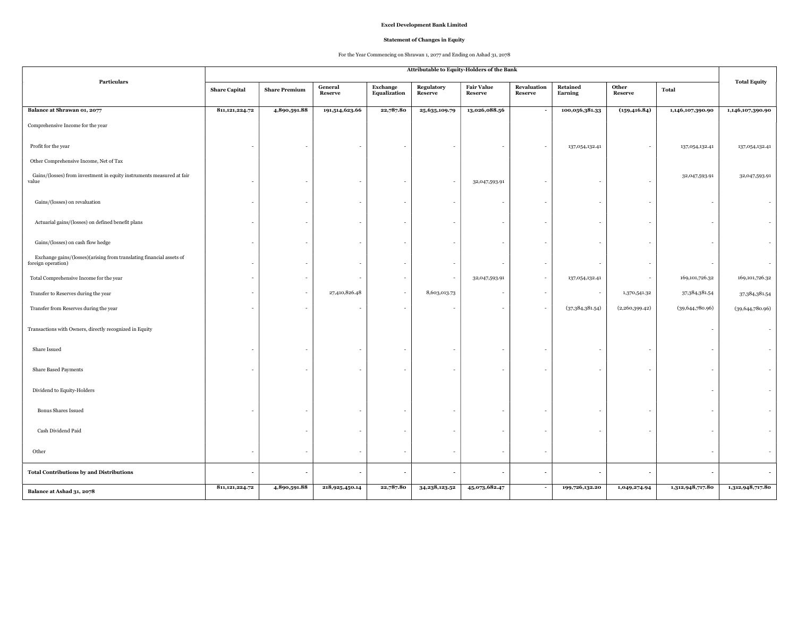#### Excel Development Bank Limited

#### Statement of Changes in Equity

#### For the Year Commencing on Shrawan 1, 2077 and Ending on Ashad 31, 2078

|                                                                                            | Attributable to Equity-Holders of the Bank |                      |                           |                                 |                          |                              |                               |                          |                          |                   |                     |
|--------------------------------------------------------------------------------------------|--------------------------------------------|----------------------|---------------------------|---------------------------------|--------------------------|------------------------------|-------------------------------|--------------------------|--------------------------|-------------------|---------------------|
| Particulars                                                                                | <b>Share Capital</b>                       | <b>Share Premium</b> | General<br><b>Reserve</b> | <b>Exchange</b><br>Equalization | Regulatory<br>Reserve    | <b>Fair Value</b><br>Reserve | Revaluation<br><b>Reserve</b> | Retained<br>Earning      | Other<br>Reserve         | Total             | <b>Total Equity</b> |
| Balance at Shrawan 01, 2077                                                                | 811, 121, 224.72                           | 4,890,591.88         | 191,514,623.66            | 22,787.80                       | 25,635,109.79            | 13,026,088.56                |                               | 100,056,381.33           | (159, 416.84)            | 1,146,107,390.90  | 1,146,107,390.90    |
| Comprehensive Income for the year                                                          |                                            |                      |                           |                                 |                          |                              |                               |                          |                          |                   |                     |
| Profit for the year                                                                        |                                            |                      |                           |                                 |                          |                              |                               | 137,054,132.41           | $\overline{\phantom{a}}$ | 137,054,132.41    | 137,054,132.41      |
| Other Comprehensive Income, Net of Tax                                                     |                                            |                      |                           |                                 |                          |                              |                               |                          |                          |                   |                     |
| Gains/(losses) from investment in equity instruments measured at fair<br>value             |                                            |                      |                           |                                 | $\overline{\phantom{a}}$ | 32,047,593.91                |                               |                          |                          | 32,047,593.91     | 32,047,593.91       |
| Gains/(losses) on revaluation                                                              |                                            |                      |                           |                                 |                          |                              |                               |                          |                          |                   |                     |
| Actuarial gains/(losses) on defined benefit plans                                          |                                            |                      |                           |                                 |                          |                              |                               | $\overline{\phantom{a}}$ |                          |                   |                     |
| Gains/(losses) on cash flow hedge                                                          |                                            |                      |                           |                                 |                          |                              |                               |                          |                          |                   |                     |
| Exchange gains/(losses)(arising from translating financial assets of<br>foreign operation) |                                            |                      |                           |                                 |                          |                              |                               |                          |                          |                   |                     |
| Total Comprehensive Income for the year                                                    |                                            |                      |                           |                                 |                          | 32,047,593.91                | $\sim$                        | 137,054,132.41           | $\overline{\phantom{a}}$ | 169,101,726.32    | 169, 101, 726. 32   |
| Transfer to Reserves during the year                                                       |                                            |                      | 27,410,826.48             |                                 | 8,603,013.73             |                              |                               |                          | 1,370,541.32             | 37, 384, 381. 54  | 37, 384, 381. 54    |
| Transfer from Reserves during the year                                                     |                                            |                      |                           |                                 |                          |                              |                               | (37,384,381.54)          | (2,260,399.42)           | (39, 644, 780.96) | (39, 644, 780.96)   |
| Transactions with Owners, directly recognized in Equity                                    |                                            |                      |                           |                                 |                          |                              |                               |                          |                          |                   |                     |
| Share Issued                                                                               |                                            |                      |                           |                                 |                          |                              |                               |                          |                          |                   |                     |
| Share Based Payments                                                                       |                                            |                      |                           |                                 |                          |                              |                               |                          |                          |                   |                     |
| Dividend to Equity-Holders                                                                 |                                            |                      |                           |                                 |                          |                              |                               |                          |                          |                   |                     |
| <b>Bonus Shares Issued</b>                                                                 |                                            |                      |                           |                                 |                          |                              |                               |                          |                          |                   |                     |
| Cash Dividend Paid                                                                         |                                            |                      |                           |                                 |                          |                              |                               |                          |                          |                   |                     |
| Other                                                                                      |                                            |                      |                           |                                 |                          |                              |                               |                          |                          |                   |                     |
| <b>Total Contributions by and Distributions</b>                                            |                                            |                      |                           |                                 |                          |                              |                               |                          | $\overline{\phantom{a}}$ |                   |                     |
| Balance at Ashad 31, 2078                                                                  | 811, 121, 224. 72                          | 4,890,591.88         | 218,925,450.14            | 22,787.80                       | 34, 238, 123.52          | 45,073,682.47                |                               | 199,726,132.20           | 1,049,274.94             | 1,312,948,717.80  | 1,312,948,717.80    |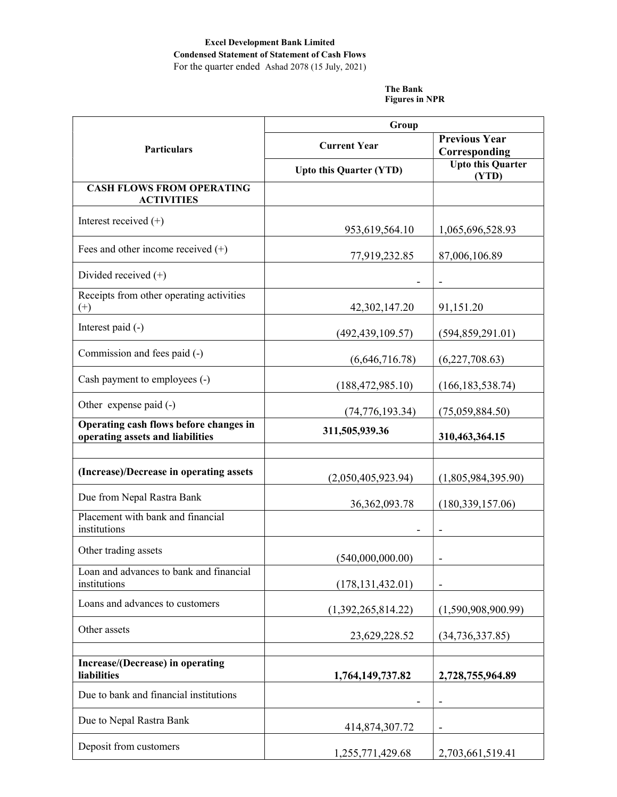# Excel Development Bank Limited Condensed Statement of Statement of Cash Flows

For the quarter ended Ashad 2078 (15 July, 2021)

The Bank Figures in NPR

|                                                                            | Group                          |                                       |  |
|----------------------------------------------------------------------------|--------------------------------|---------------------------------------|--|
| Particulars                                                                | <b>Current Year</b>            | <b>Previous Year</b><br>Corresponding |  |
|                                                                            | <b>Upto this Quarter (YTD)</b> | <b>Upto this Quarter</b><br>(YTD)     |  |
| <b>CASH FLOWS FROM OPERATING</b><br><b>ACTIVITIES</b>                      |                                |                                       |  |
| Interest received $(+)$                                                    | 953,619,564.10                 | 1,065,696,528.93                      |  |
| Fees and other income received $(+)$                                       | 77,919,232.85                  | 87,006,106.89                         |  |
| Divided received $(+)$                                                     |                                |                                       |  |
| Receipts from other operating activities<br>$^{(+)}$                       | 42,302,147.20                  | 91,151.20                             |  |
| Interest paid (-)                                                          | (492, 439, 109.57)             | (594, 859, 291.01)                    |  |
| Commission and fees paid (-)                                               | (6,646,716.78)                 | (6,227,708.63)                        |  |
| Cash payment to employees (-)                                              | (188, 472, 985.10)             | (166, 183, 538.74)                    |  |
| Other expense paid (-)                                                     | (74, 776, 193.34)              | (75,059,884.50)                       |  |
| Operating cash flows before changes in<br>operating assets and liabilities | 311,505,939.36                 | 310,463,364.15                        |  |
|                                                                            |                                |                                       |  |
| (Increase)/Decrease in operating assets                                    | (2,050,405,923.94)             | (1,805,984,395.90)                    |  |
| Due from Nepal Rastra Bank                                                 | 36, 362, 093. 78               | (180, 339, 157.06)                    |  |
| Placement with bank and financial<br>institutions                          |                                |                                       |  |
| Other trading assets                                                       | (540,000,000.00)               |                                       |  |
| Loan and advances to bank and financial<br>institutions                    | (178, 131, 432.01)             | $\qquad \qquad \blacksquare$          |  |
| Loans and advances to customers                                            | (1,392,265,814.22)             | (1,590,908,900.99)                    |  |
| Other assets                                                               | 23,629,228.52                  | (34, 736, 337.85)                     |  |
|                                                                            |                                |                                       |  |
| Increase/(Decrease) in operating<br>liabilities                            | 1,764,149,737.82               | 2,728,755,964.89                      |  |
| Due to bank and financial institutions                                     | -                              | -                                     |  |
| Due to Nepal Rastra Bank                                                   | 414,874,307.72                 | $\qquad \qquad \blacksquare$          |  |
| Deposit from customers                                                     | 1,255,771,429.68               | 2,703,661,519.41                      |  |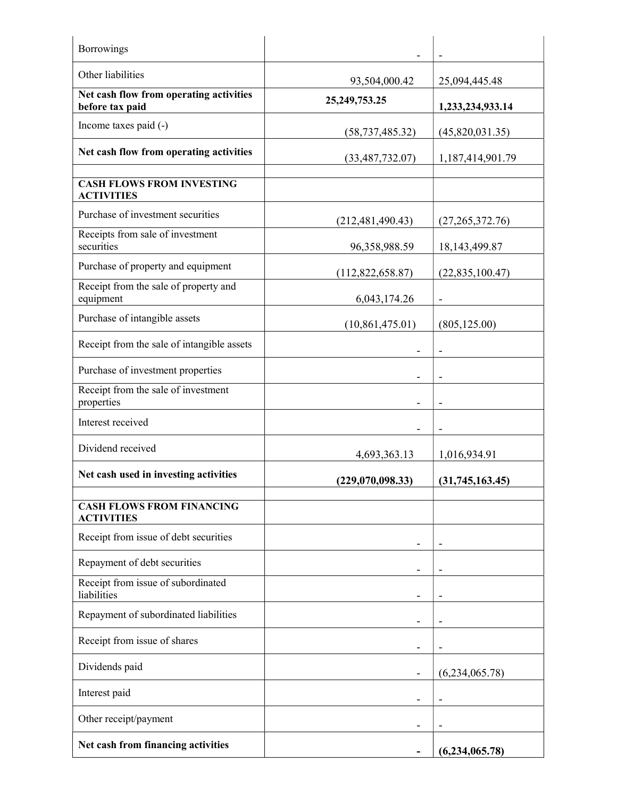| Borrowings                                                 |                    |                          |
|------------------------------------------------------------|--------------------|--------------------------|
| Other liabilities                                          | 93,504,000.42      | 25,094,445.48            |
| Net cash flow from operating activities<br>before tax paid | 25, 249, 753. 25   | 1,233,234,933.14         |
| Income taxes paid (-)                                      | (58, 737, 485.32)  | (45,820,031.35)          |
| Net cash flow from operating activities                    | (33, 487, 732.07)  | 1,187,414,901.79         |
| <b>CASH FLOWS FROM INVESTING</b><br><b>ACTIVITIES</b>      |                    |                          |
| Purchase of investment securities                          | (212, 481, 490.43) | (27,265,372.76)          |
| Receipts from sale of investment<br>securities             | 96,358,988.59      | 18, 143, 499. 87         |
| Purchase of property and equipment                         | (112,822,658.87)   | (22,835,100.47)          |
| Receipt from the sale of property and<br>equipment         | 6,043,174.26       |                          |
| Purchase of intangible assets                              | (10,861,475.01)    | (805, 125.00)            |
| Receipt from the sale of intangible assets                 |                    | $\overline{\phantom{a}}$ |
| Purchase of investment properties                          |                    |                          |
| Receipt from the sale of investment<br>properties          |                    |                          |
| Interest received                                          |                    |                          |
| Dividend received                                          | 4,693,363.13       | 1,016,934.91             |
| Net cash used in investing activities                      | (229,070,098.33)   | (31,745,163.45)          |
| <b>CASH FLOWS FROM FINANCING</b><br><b>ACTIVITIES</b>      |                    |                          |
| Receipt from issue of debt securities                      |                    |                          |
| Repayment of debt securities                               |                    |                          |
| Receipt from issue of subordinated<br>liabilities          |                    |                          |
| Repayment of subordinated liabilities                      |                    | -                        |
| Receipt from issue of shares                               |                    |                          |
| Dividends paid                                             |                    | (6,234,065.78)           |
| Interest paid                                              |                    |                          |
| Other receipt/payment                                      |                    |                          |
| Net cash from financing activities                         |                    | (6,234,065.78)           |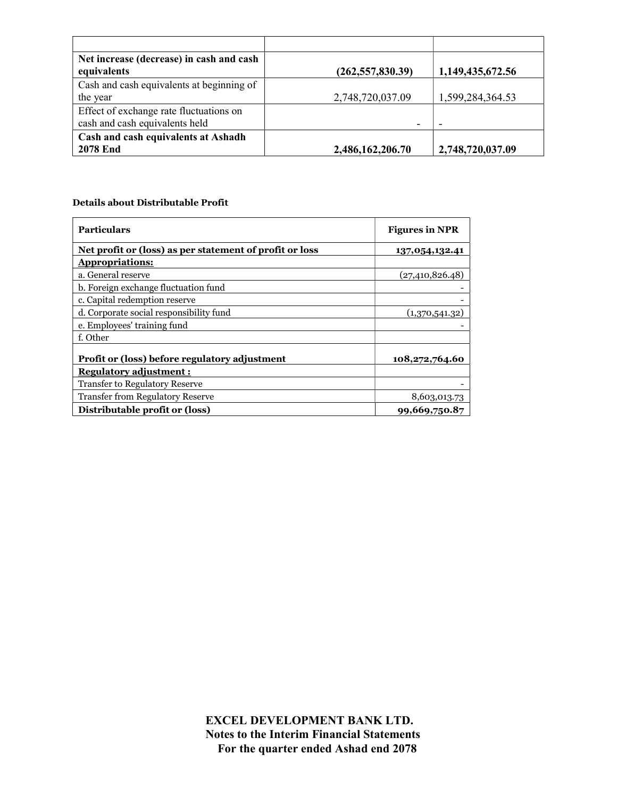| Net increase (decrease) in cash and cash<br>equivalents                   | (262, 557, 830.39) | 1,149,435,672.56         |
|---------------------------------------------------------------------------|--------------------|--------------------------|
| Cash and cash equivalents at beginning of<br>the year                     | 2,748,720,037.09   | 1,599,284,364.53         |
| Effect of exchange rate fluctuations on<br>cash and cash equivalents held |                    | $\overline{\phantom{0}}$ |
| Cash and cash equivalents at Ashadh<br><b>2078 End</b>                    | 2,486,162,206.70   | 2,748,720,037.09         |

#### Details about Distributable Profit

| <b>Particulars</b>                                      | <b>Figures in NPR</b> |
|---------------------------------------------------------|-----------------------|
| Net profit or (loss) as per statement of profit or loss | 137,054,132.41        |
| <b>Appropriations:</b>                                  |                       |
| a. General reserve                                      | (27, 410, 826.48)     |
| b. Foreign exchange fluctuation fund                    |                       |
| c. Capital redemption reserve                           |                       |
| d. Corporate social responsibility fund                 | (1,370,541.32)        |
| e. Employees' training fund                             |                       |
| f. Other                                                |                       |
| Profit or (loss) before regulatory adjustment           | 108,272,764.60        |
| <b>Regulatory adjustment:</b>                           |                       |
| <b>Transfer to Regulatory Reserve</b>                   |                       |
| <b>Transfer from Regulatory Reserve</b>                 | 8,603,013.73          |
| Distributable profit or (loss)                          | 99,669,750.87         |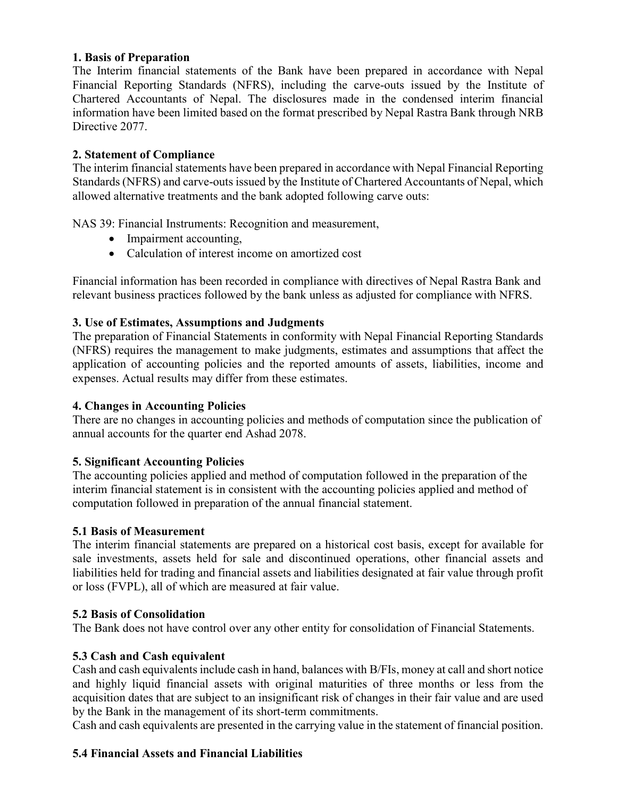#### 1. Basis of Preparation

The Interim financial statements of the Bank have been prepared in accordance with Nepal Financial Reporting Standards (NFRS), including the carve-outs issued by the Institute of Chartered Accountants of Nepal. The disclosures made in the condensed interim financial information have been limited based on the format prescribed by Nepal Rastra Bank through NRB Directive 2077.

#### 2. Statement of Compliance

The interim financial statements have been prepared in accordance with Nepal Financial Reporting Standards (NFRS) and carve-outs issued by the Institute of Chartered Accountants of Nepal, which allowed alternative treatments and the bank adopted following carve outs:

NAS 39: Financial Instruments: Recognition and measurement,

- Impairment accounting,
- Calculation of interest income on amortized cost

Financial information has been recorded in compliance with directives of Nepal Rastra Bank and relevant business practices followed by the bank unless as adjusted for compliance with NFRS.

#### 3. Use of Estimates, Assumptions and Judgments

The preparation of Financial Statements in conformity with Nepal Financial Reporting Standards (NFRS) requires the management to make judgments, estimates and assumptions that affect the application of accounting policies and the reported amounts of assets, liabilities, income and expenses. Actual results may differ from these estimates.

#### 4. Changes in Accounting Policies

There are no changes in accounting policies and methods of computation since the publication of annual accounts for the quarter end Ashad 2078.

#### 5. Significant Accounting Policies

The accounting policies applied and method of computation followed in the preparation of the interim financial statement is in consistent with the accounting policies applied and method of computation followed in preparation of the annual financial statement.

#### 5.1 Basis of Measurement

The interim financial statements are prepared on a historical cost basis, except for available for sale investments, assets held for sale and discontinued operations, other financial assets and liabilities held for trading and financial assets and liabilities designated at fair value through profit or loss (FVPL), all of which are measured at fair value.

#### 5.2 Basis of Consolidation

The Bank does not have control over any other entity for consolidation of Financial Statements.

# 5.3 Cash and Cash equivalent

Cash and cash equivalents include cash in hand, balances with B/FIs, money at call and short notice and highly liquid financial assets with original maturities of three months or less from the acquisition dates that are subject to an insignificant risk of changes in their fair value and are used by the Bank in the management of its short-term commitments.

Cash and cash equivalents are presented in the carrying value in the statement of financial position.

# 5.4 Financial Assets and Financial Liabilities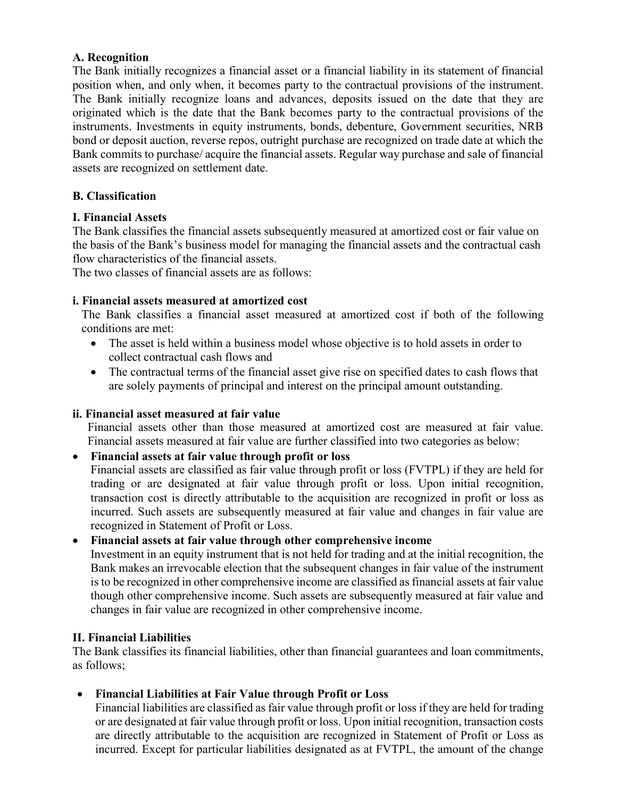#### A. Recognition

The Bank initially recognizes a financial asset or a financial liability in its statement of financial position when, and only when, it becomes party to the contractual provisions of the instrument. The Bank initially recognize loans and advances, deposits issued on the date that they are originated which is the date that the Bank becomes party to the contractual provisions of the instruments. Investments in equity instruments, bonds, debenture, Government securities, NRB bond or deposit auction, reverse repos, outright purchase are recognized on trade date at which the Bank commits to purchase/ acquire the financial assets. Regular way purchase and sale of financial assets are recognized on settlement date.

#### B. Classification

#### I. Financial Assets

The Bank classifies the financial assets subsequently measured at amortized cost or fair value on the basis of the Bank's business model for managing the financial assets and the contractual cash flow characteristics of the financial assets.

The two classes of financial assets are as follows:

#### i. Financial assets measured at amortized cost

The Bank classifies a financial asset measured at amortized cost if both of the following conditions are met:

- The asset is held within a business model whose objective is to hold assets in order to collect contractual cash flows and
- The contractual terms of the financial asset give rise on specified dates to cash flows that are solely payments of principal and interest on the principal amount outstanding.

#### ii. Financial asset measured at fair value

Financial assets other than those measured at amortized cost are measured at fair value. Financial assets measured at fair value are further classified into two categories as below:

# Financial assets at fair value through profit or loss

Financial assets are classified as fair value through profit or loss (FVTPL) if they are held for trading or are designated at fair value through profit or loss. Upon initial recognition, transaction cost is directly attributable to the acquisition are recognized in profit or loss as incurred. Such assets are subsequently measured at fair value and changes in fair value are recognized in Statement of Profit or Loss.

#### Financial assets at fair value through other comprehensive income

Investment in an equity instrument that is not held for trading and at the initial recognition, the Bank makes an irrevocable election that the subsequent changes in fair value of the instrument is to be recognized in other comprehensive income are classified as financial assets at fair value though other comprehensive income. Such assets are subsequently measured at fair value and changes in fair value are recognized in other comprehensive income.

#### II. Financial Liabilities

The Bank classifies its financial liabilities, other than financial guarantees and loan commitments, as follows;

# Financial Liabilities at Fair Value through Profit or Loss

Financial liabilities are classified as fair value through profit or loss if they are held for trading or are designated at fair value through profit or loss. Upon initial recognition, transaction costs are directly attributable to the acquisition are recognized in Statement of Profit or Loss as incurred. Except for particular liabilities designated as at FVTPL, the amount of the change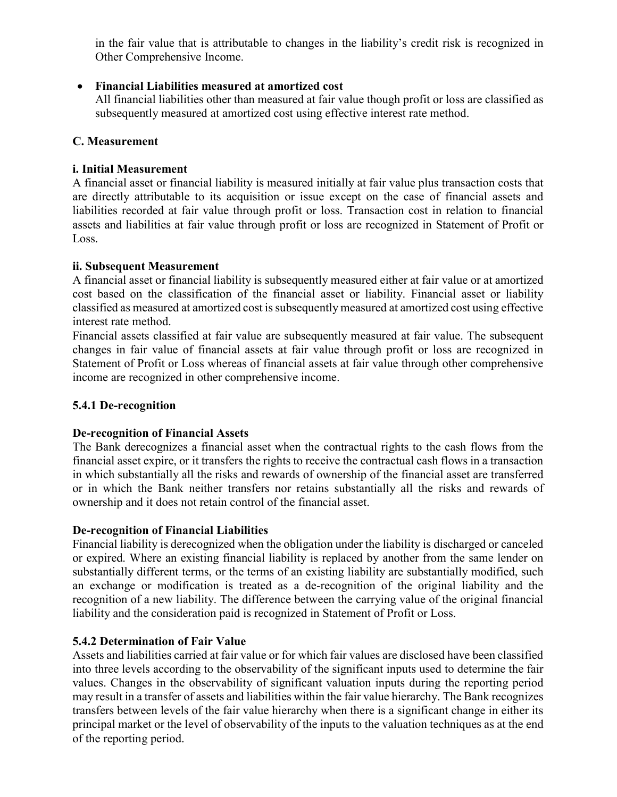in the fair value that is attributable to changes in the liability's credit risk is recognized in Other Comprehensive Income.

# Financial Liabilities measured at amortized cost

All financial liabilities other than measured at fair value though profit or loss are classified as subsequently measured at amortized cost using effective interest rate method.

# C. Measurement

# i. Initial Measurement

A financial asset or financial liability is measured initially at fair value plus transaction costs that are directly attributable to its acquisition or issue except on the case of financial assets and liabilities recorded at fair value through profit or loss. Transaction cost in relation to financial assets and liabilities at fair value through profit or loss are recognized in Statement of Profit or Loss.

# ii. Subsequent Measurement

A financial asset or financial liability is subsequently measured either at fair value or at amortized cost based on the classification of the financial asset or liability. Financial asset or liability classified as measured at amortized cost is subsequently measured at amortized cost using effective interest rate method.

Financial assets classified at fair value are subsequently measured at fair value. The subsequent changes in fair value of financial assets at fair value through profit or loss are recognized in Statement of Profit or Loss whereas of financial assets at fair value through other comprehensive income are recognized in other comprehensive income.

# 5.4.1 De-recognition

# De-recognition of Financial Assets

The Bank derecognizes a financial asset when the contractual rights to the cash flows from the financial asset expire, or it transfers the rights to receive the contractual cash flows in a transaction in which substantially all the risks and rewards of ownership of the financial asset are transferred or in which the Bank neither transfers nor retains substantially all the risks and rewards of ownership and it does not retain control of the financial asset.

# De-recognition of Financial Liabilities

Financial liability is derecognized when the obligation under the liability is discharged or canceled or expired. Where an existing financial liability is replaced by another from the same lender on substantially different terms, or the terms of an existing liability are substantially modified, such an exchange or modification is treated as a de-recognition of the original liability and the recognition of a new liability. The difference between the carrying value of the original financial liability and the consideration paid is recognized in Statement of Profit or Loss.

# 5.4.2 Determination of Fair Value

Assets and liabilities carried at fair value or for which fair values are disclosed have been classified into three levels according to the observability of the significant inputs used to determine the fair values. Changes in the observability of significant valuation inputs during the reporting period may result in a transfer of assets and liabilities within the fair value hierarchy. The Bank recognizes transfers between levels of the fair value hierarchy when there is a significant change in either its principal market or the level of observability of the inputs to the valuation techniques as at the end of the reporting period.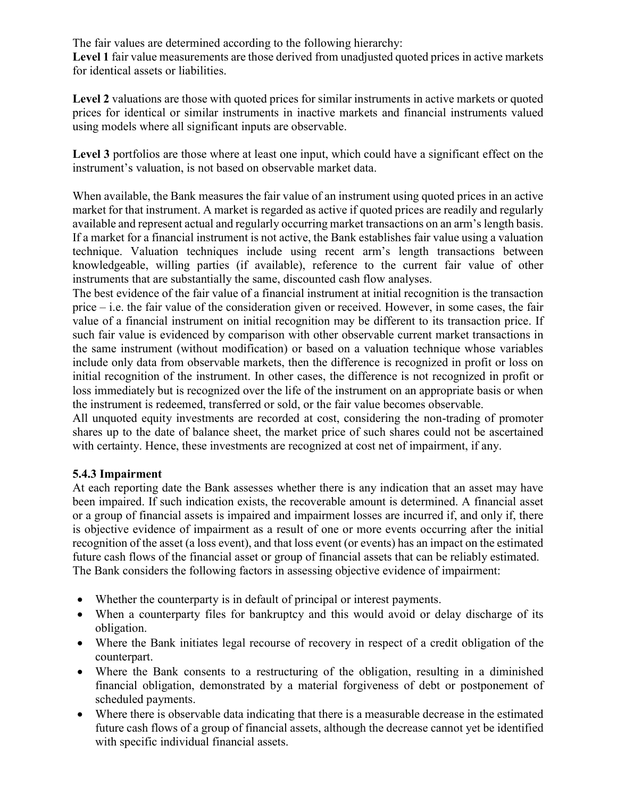The fair values are determined according to the following hierarchy:

Level 1 fair value measurements are those derived from unadjusted quoted prices in active markets for identical assets or liabilities.

Level 2 valuations are those with quoted prices for similar instruments in active markets or quoted prices for identical or similar instruments in inactive markets and financial instruments valued using models where all significant inputs are observable.

Level 3 portfolios are those where at least one input, which could have a significant effect on the instrument's valuation, is not based on observable market data.

When available, the Bank measures the fair value of an instrument using quoted prices in an active market for that instrument. A market is regarded as active if quoted prices are readily and regularly available and represent actual and regularly occurring market transactions on an arm's length basis. If a market for a financial instrument is not active, the Bank establishes fair value using a valuation technique. Valuation techniques include using recent arm's length transactions between knowledgeable, willing parties (if available), reference to the current fair value of other instruments that are substantially the same, discounted cash flow analyses.

The best evidence of the fair value of a financial instrument at initial recognition is the transaction price – i.e. the fair value of the consideration given or received. However, in some cases, the fair value of a financial instrument on initial recognition may be different to its transaction price. If such fair value is evidenced by comparison with other observable current market transactions in the same instrument (without modification) or based on a valuation technique whose variables include only data from observable markets, then the difference is recognized in profit or loss on initial recognition of the instrument. In other cases, the difference is not recognized in profit or loss immediately but is recognized over the life of the instrument on an appropriate basis or when the instrument is redeemed, transferred or sold, or the fair value becomes observable.

All unquoted equity investments are recorded at cost, considering the non-trading of promoter shares up to the date of balance sheet, the market price of such shares could not be ascertained with certainty. Hence, these investments are recognized at cost net of impairment, if any.

# 5.4.3 Impairment

At each reporting date the Bank assesses whether there is any indication that an asset may have been impaired. If such indication exists, the recoverable amount is determined. A financial asset or a group of financial assets is impaired and impairment losses are incurred if, and only if, there is objective evidence of impairment as a result of one or more events occurring after the initial recognition of the asset (a loss event), and that loss event (or events) has an impact on the estimated future cash flows of the financial asset or group of financial assets that can be reliably estimated. The Bank considers the following factors in assessing objective evidence of impairment:

- Whether the counterparty is in default of principal or interest payments.
- When a counterparty files for bankruptcy and this would avoid or delay discharge of its obligation.
- Where the Bank initiates legal recourse of recovery in respect of a credit obligation of the counterpart.
- Where the Bank consents to a restructuring of the obligation, resulting in a diminished financial obligation, demonstrated by a material forgiveness of debt or postponement of scheduled payments.
- Where there is observable data indicating that there is a measurable decrease in the estimated future cash flows of a group of financial assets, although the decrease cannot yet be identified with specific individual financial assets.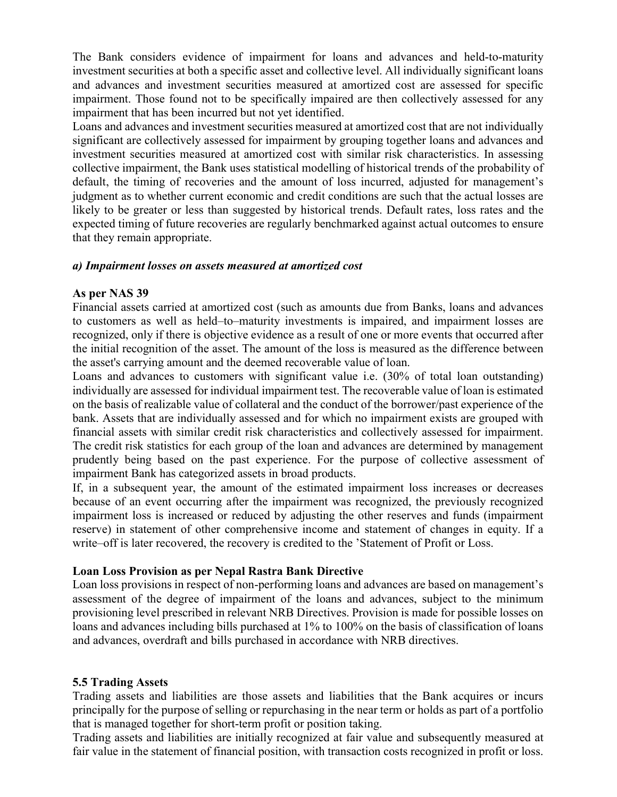The Bank considers evidence of impairment for loans and advances and held-to-maturity investment securities at both a specific asset and collective level. All individually significant loans and advances and investment securities measured at amortized cost are assessed for specific impairment. Those found not to be specifically impaired are then collectively assessed for any impairment that has been incurred but not yet identified.

Loans and advances and investment securities measured at amortized cost that are not individually significant are collectively assessed for impairment by grouping together loans and advances and investment securities measured at amortized cost with similar risk characteristics. In assessing collective impairment, the Bank uses statistical modelling of historical trends of the probability of default, the timing of recoveries and the amount of loss incurred, adjusted for management's judgment as to whether current economic and credit conditions are such that the actual losses are likely to be greater or less than suggested by historical trends. Default rates, loss rates and the expected timing of future recoveries are regularly benchmarked against actual outcomes to ensure that they remain appropriate.

#### a) Impairment losses on assets measured at amortized cost

#### As per NAS 39

Financial assets carried at amortized cost (such as amounts due from Banks, loans and advances to customers as well as held–to–maturity investments is impaired, and impairment losses are recognized, only if there is objective evidence as a result of one or more events that occurred after the initial recognition of the asset. The amount of the loss is measured as the difference between the asset's carrying amount and the deemed recoverable value of loan.

Loans and advances to customers with significant value i.e. (30% of total loan outstanding) individually are assessed for individual impairment test. The recoverable value of loan is estimated on the basis of realizable value of collateral and the conduct of the borrower/past experience of the bank. Assets that are individually assessed and for which no impairment exists are grouped with financial assets with similar credit risk characteristics and collectively assessed for impairment. The credit risk statistics for each group of the loan and advances are determined by management prudently being based on the past experience. For the purpose of collective assessment of impairment Bank has categorized assets in broad products.

If, in a subsequent year, the amount of the estimated impairment loss increases or decreases because of an event occurring after the impairment was recognized, the previously recognized impairment loss is increased or reduced by adjusting the other reserves and funds (impairment reserve) in statement of other comprehensive income and statement of changes in equity. If a write–off is later recovered, the recovery is credited to the 'Statement of Profit or Loss.

#### Loan Loss Provision as per Nepal Rastra Bank Directive

Loan loss provisions in respect of non-performing loans and advances are based on management's assessment of the degree of impairment of the loans and advances, subject to the minimum provisioning level prescribed in relevant NRB Directives. Provision is made for possible losses on loans and advances including bills purchased at 1% to 100% on the basis of classification of loans and advances, overdraft and bills purchased in accordance with NRB directives.

#### 5.5 Trading Assets

Trading assets and liabilities are those assets and liabilities that the Bank acquires or incurs principally for the purpose of selling or repurchasing in the near term or holds as part of a portfolio that is managed together for short-term profit or position taking.

Trading assets and liabilities are initially recognized at fair value and subsequently measured at fair value in the statement of financial position, with transaction costs recognized in profit or loss.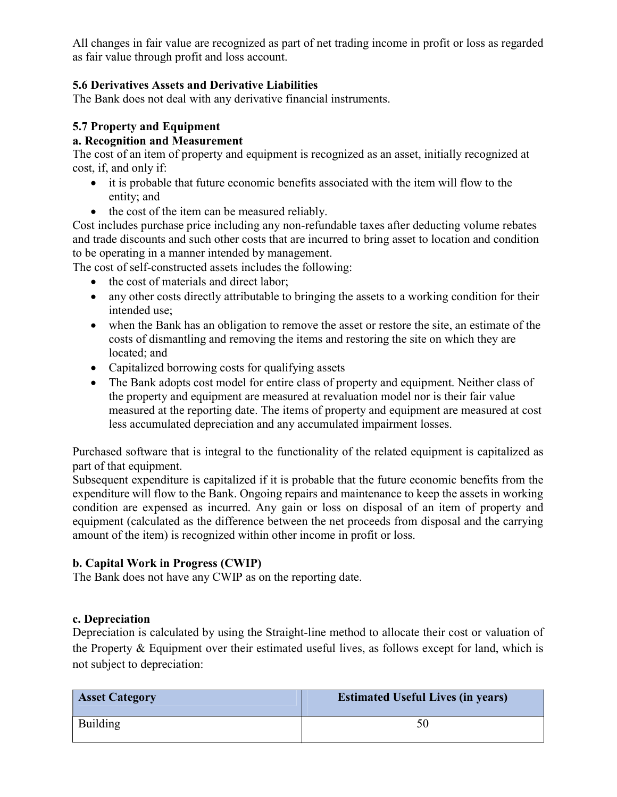All changes in fair value are recognized as part of net trading income in profit or loss as regarded as fair value through profit and loss account.

# 5.6 Derivatives Assets and Derivative Liabilities

The Bank does not deal with any derivative financial instruments.

# 5.7 Property and Equipment

#### a. Recognition and Measurement

The cost of an item of property and equipment is recognized as an asset, initially recognized at cost, if, and only if:

- it is probable that future economic benefits associated with the item will flow to the entity; and
- the cost of the item can be measured reliably.

Cost includes purchase price including any non-refundable taxes after deducting volume rebates and trade discounts and such other costs that are incurred to bring asset to location and condition to be operating in a manner intended by management.

The cost of self-constructed assets includes the following:

- the cost of materials and direct labor;
- any other costs directly attributable to bringing the assets to a working condition for their intended use;
- when the Bank has an obligation to remove the asset or restore the site, an estimate of the costs of dismantling and removing the items and restoring the site on which they are located; and
- Capitalized borrowing costs for qualifying assets
- The Bank adopts cost model for entire class of property and equipment. Neither class of the property and equipment are measured at revaluation model nor is their fair value measured at the reporting date. The items of property and equipment are measured at cost less accumulated depreciation and any accumulated impairment losses.

Purchased software that is integral to the functionality of the related equipment is capitalized as part of that equipment.

Subsequent expenditure is capitalized if it is probable that the future economic benefits from the expenditure will flow to the Bank. Ongoing repairs and maintenance to keep the assets in working condition are expensed as incurred. Any gain or loss on disposal of an item of property and equipment (calculated as the difference between the net proceeds from disposal and the carrying amount of the item) is recognized within other income in profit or loss.

# b. Capital Work in Progress (CWIP)

The Bank does not have any CWIP as on the reporting date.

# c. Depreciation

Depreciation is calculated by using the Straight-line method to allocate their cost or valuation of the Property & Equipment over their estimated useful lives, as follows except for land, which is not subject to depreciation:

| <b>Asset Category</b> | <b>Estimated Useful Lives (in years)</b> |
|-----------------------|------------------------------------------|
| Building              |                                          |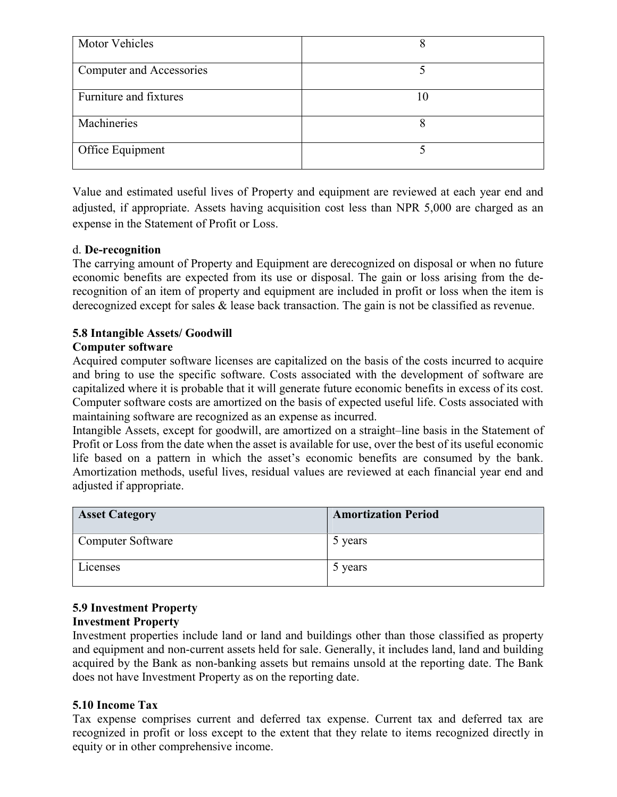| <b>Motor Vehicles</b>           |  |
|---------------------------------|--|
| <b>Computer and Accessories</b> |  |
| Furniture and fixtures          |  |
| Machineries                     |  |
| Office Equipment                |  |

Value and estimated useful lives of Property and equipment are reviewed at each year end and adjusted, if appropriate. Assets having acquisition cost less than NPR 5,000 are charged as an expense in the Statement of Profit or Loss.

# d. De-recognition

The carrying amount of Property and Equipment are derecognized on disposal or when no future economic benefits are expected from its use or disposal. The gain or loss arising from the derecognition of an item of property and equipment are included in profit or loss when the item is derecognized except for sales & lease back transaction. The gain is not be classified as revenue.

# 5.8 Intangible Assets/ Goodwill

#### Computer software

Acquired computer software licenses are capitalized on the basis of the costs incurred to acquire and bring to use the specific software. Costs associated with the development of software are capitalized where it is probable that it will generate future economic benefits in excess of its cost. Computer software costs are amortized on the basis of expected useful life. Costs associated with maintaining software are recognized as an expense as incurred.

Intangible Assets, except for goodwill, are amortized on a straight–line basis in the Statement of Profit or Loss from the date when the asset is available for use, over the best of its useful economic life based on a pattern in which the asset's economic benefits are consumed by the bank. Amortization methods, useful lives, residual values are reviewed at each financial year end and adjusted if appropriate.

| <b>Asset Category</b> | <b>Amortization Period</b> |
|-----------------------|----------------------------|
| Computer Software     | 5 years                    |
| Licenses              | 5 years                    |

# 5.9 Investment Property

#### Investment Property

Investment properties include land or land and buildings other than those classified as property and equipment and non-current assets held for sale. Generally, it includes land, land and building acquired by the Bank as non-banking assets but remains unsold at the reporting date. The Bank does not have Investment Property as on the reporting date.

# 5.10 Income Tax

Tax expense comprises current and deferred tax expense. Current tax and deferred tax are recognized in profit or loss except to the extent that they relate to items recognized directly in equity or in other comprehensive income.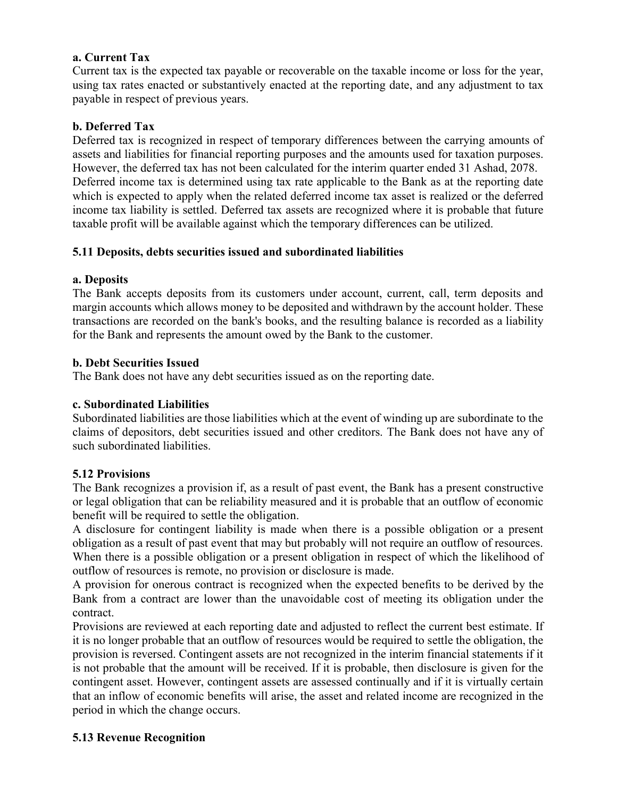#### a. Current Tax

Current tax is the expected tax payable or recoverable on the taxable income or loss for the year, using tax rates enacted or substantively enacted at the reporting date, and any adjustment to tax payable in respect of previous years.

#### b. Deferred Tax

Deferred tax is recognized in respect of temporary differences between the carrying amounts of assets and liabilities for financial reporting purposes and the amounts used for taxation purposes. However, the deferred tax has not been calculated for the interim quarter ended 31 Ashad, 2078. Deferred income tax is determined using tax rate applicable to the Bank as at the reporting date which is expected to apply when the related deferred income tax asset is realized or the deferred income tax liability is settled. Deferred tax assets are recognized where it is probable that future taxable profit will be available against which the temporary differences can be utilized.

#### 5.11 Deposits, debts securities issued and subordinated liabilities

#### a. Deposits

The Bank accepts deposits from its customers under account, current, call, term deposits and margin accounts which allows money to be deposited and withdrawn by the account holder. These transactions are recorded on the bank's books, and the resulting balance is recorded as a liability for the Bank and represents the amount owed by the Bank to the customer.

#### b. Debt Securities Issued

The Bank does not have any debt securities issued as on the reporting date.

#### c. Subordinated Liabilities

Subordinated liabilities are those liabilities which at the event of winding up are subordinate to the claims of depositors, debt securities issued and other creditors. The Bank does not have any of such subordinated liabilities.

#### 5.12 Provisions

The Bank recognizes a provision if, as a result of past event, the Bank has a present constructive or legal obligation that can be reliability measured and it is probable that an outflow of economic benefit will be required to settle the obligation.

A disclosure for contingent liability is made when there is a possible obligation or a present obligation as a result of past event that may but probably will not require an outflow of resources. When there is a possible obligation or a present obligation in respect of which the likelihood of outflow of resources is remote, no provision or disclosure is made.

A provision for onerous contract is recognized when the expected benefits to be derived by the Bank from a contract are lower than the unavoidable cost of meeting its obligation under the contract.

Provisions are reviewed at each reporting date and adjusted to reflect the current best estimate. If it is no longer probable that an outflow of resources would be required to settle the obligation, the provision is reversed. Contingent assets are not recognized in the interim financial statements if it is not probable that the amount will be received. If it is probable, then disclosure is given for the contingent asset. However, contingent assets are assessed continually and if it is virtually certain that an inflow of economic benefits will arise, the asset and related income are recognized in the period in which the change occurs.

#### 5.13 Revenue Recognition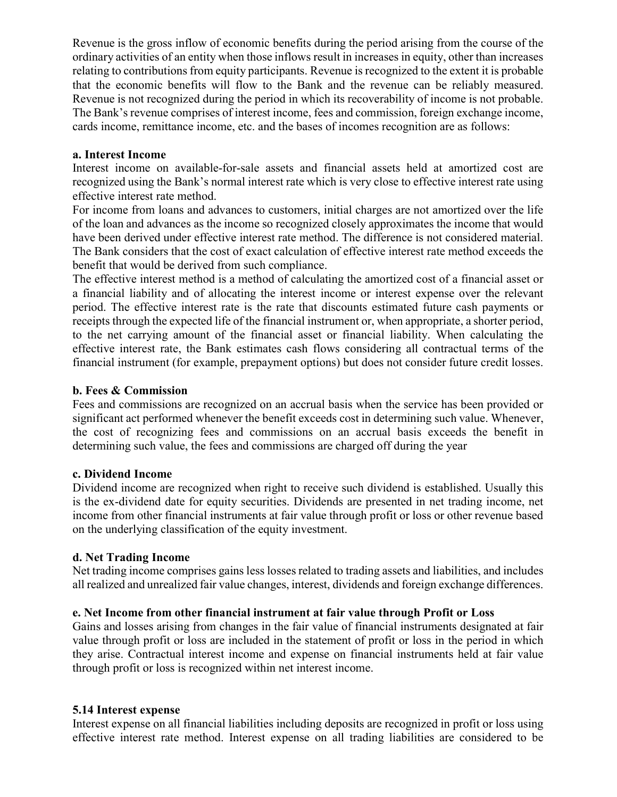Revenue is the gross inflow of economic benefits during the period arising from the course of the ordinary activities of an entity when those inflows result in increases in equity, other than increases relating to contributions from equity participants. Revenue is recognized to the extent it is probable that the economic benefits will flow to the Bank and the revenue can be reliably measured. Revenue is not recognized during the period in which its recoverability of income is not probable. The Bank's revenue comprises of interest income, fees and commission, foreign exchange income, cards income, remittance income, etc. and the bases of incomes recognition are as follows:

#### a. Interest Income

Interest income on available-for-sale assets and financial assets held at amortized cost are recognized using the Bank's normal interest rate which is very close to effective interest rate using effective interest rate method.

For income from loans and advances to customers, initial charges are not amortized over the life of the loan and advances as the income so recognized closely approximates the income that would have been derived under effective interest rate method. The difference is not considered material. The Bank considers that the cost of exact calculation of effective interest rate method exceeds the benefit that would be derived from such compliance.

The effective interest method is a method of calculating the amortized cost of a financial asset or a financial liability and of allocating the interest income or interest expense over the relevant period. The effective interest rate is the rate that discounts estimated future cash payments or receipts through the expected life of the financial instrument or, when appropriate, a shorter period, to the net carrying amount of the financial asset or financial liability. When calculating the effective interest rate, the Bank estimates cash flows considering all contractual terms of the financial instrument (for example, prepayment options) but does not consider future credit losses.

#### b. Fees & Commission

Fees and commissions are recognized on an accrual basis when the service has been provided or significant act performed whenever the benefit exceeds cost in determining such value. Whenever, the cost of recognizing fees and commissions on an accrual basis exceeds the benefit in determining such value, the fees and commissions are charged off during the year

#### c. Dividend Income

Dividend income are recognized when right to receive such dividend is established. Usually this is the ex-dividend date for equity securities. Dividends are presented in net trading income, net income from other financial instruments at fair value through profit or loss or other revenue based on the underlying classification of the equity investment.

#### d. Net Trading Income

Net trading income comprises gains less losses related to trading assets and liabilities, and includes all realized and unrealized fair value changes, interest, dividends and foreign exchange differences.

#### e. Net Income from other financial instrument at fair value through Profit or Loss

Gains and losses arising from changes in the fair value of financial instruments designated at fair value through profit or loss are included in the statement of profit or loss in the period in which they arise. Contractual interest income and expense on financial instruments held at fair value through profit or loss is recognized within net interest income.

#### 5.14 Interest expense

Interest expense on all financial liabilities including deposits are recognized in profit or loss using effective interest rate method. Interest expense on all trading liabilities are considered to be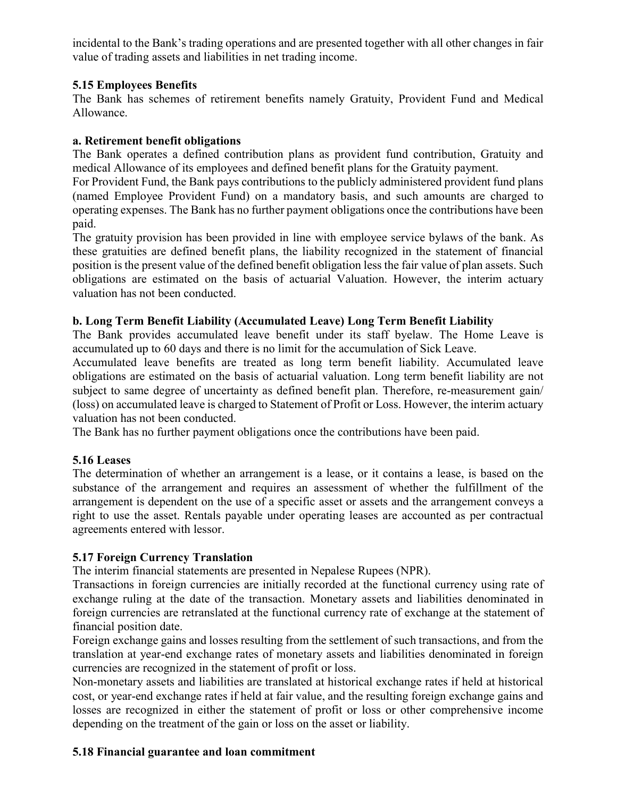incidental to the Bank's trading operations and are presented together with all other changes in fair value of trading assets and liabilities in net trading income.

# 5.15 Employees Benefits

The Bank has schemes of retirement benefits namely Gratuity, Provident Fund and Medical Allowance.

# a. Retirement benefit obligations

The Bank operates a defined contribution plans as provident fund contribution, Gratuity and medical Allowance of its employees and defined benefit plans for the Gratuity payment.

For Provident Fund, the Bank pays contributions to the publicly administered provident fund plans (named Employee Provident Fund) on a mandatory basis, and such amounts are charged to operating expenses. The Bank has no further payment obligations once the contributions have been paid.

The gratuity provision has been provided in line with employee service bylaws of the bank. As these gratuities are defined benefit plans, the liability recognized in the statement of financial position is the present value of the defined benefit obligation less the fair value of plan assets. Such obligations are estimated on the basis of actuarial Valuation. However, the interim actuary valuation has not been conducted.

# b. Long Term Benefit Liability (Accumulated Leave) Long Term Benefit Liability

The Bank provides accumulated leave benefit under its staff byelaw. The Home Leave is accumulated up to 60 days and there is no limit for the accumulation of Sick Leave.

Accumulated leave benefits are treated as long term benefit liability. Accumulated leave obligations are estimated on the basis of actuarial valuation. Long term benefit liability are not subject to same degree of uncertainty as defined benefit plan. Therefore, re-measurement gain/ (loss) on accumulated leave is charged to Statement of Profit or Loss. However, the interim actuary valuation has not been conducted.

The Bank has no further payment obligations once the contributions have been paid.

# 5.16 Leases

The determination of whether an arrangement is a lease, or it contains a lease, is based on the substance of the arrangement and requires an assessment of whether the fulfillment of the arrangement is dependent on the use of a specific asset or assets and the arrangement conveys a right to use the asset. Rentals payable under operating leases are accounted as per contractual agreements entered with lessor.

# 5.17 Foreign Currency Translation

The interim financial statements are presented in Nepalese Rupees (NPR).

Transactions in foreign currencies are initially recorded at the functional currency using rate of exchange ruling at the date of the transaction. Monetary assets and liabilities denominated in foreign currencies are retranslated at the functional currency rate of exchange at the statement of financial position date.

Foreign exchange gains and losses resulting from the settlement of such transactions, and from the translation at year-end exchange rates of monetary assets and liabilities denominated in foreign currencies are recognized in the statement of profit or loss.

Non-monetary assets and liabilities are translated at historical exchange rates if held at historical cost, or year-end exchange rates if held at fair value, and the resulting foreign exchange gains and losses are recognized in either the statement of profit or loss or other comprehensive income depending on the treatment of the gain or loss on the asset or liability.

# 5.18 Financial guarantee and loan commitment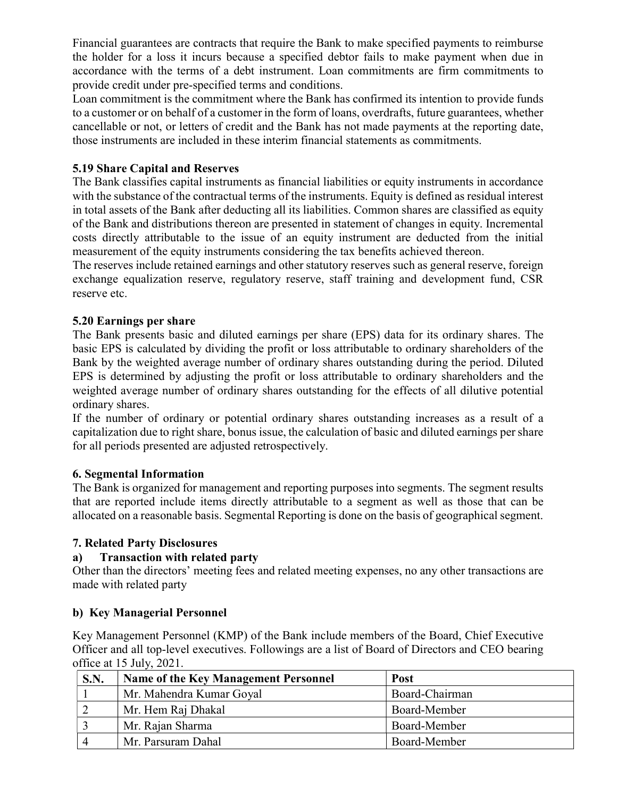Financial guarantees are contracts that require the Bank to make specified payments to reimburse the holder for a loss it incurs because a specified debtor fails to make payment when due in accordance with the terms of a debt instrument. Loan commitments are firm commitments to provide credit under pre-specified terms and conditions.

Loan commitment is the commitment where the Bank has confirmed its intention to provide funds to a customer or on behalf of a customer in the form of loans, overdrafts, future guarantees, whether cancellable or not, or letters of credit and the Bank has not made payments at the reporting date, those instruments are included in these interim financial statements as commitments.

# 5.19 Share Capital and Reserves

The Bank classifies capital instruments as financial liabilities or equity instruments in accordance with the substance of the contractual terms of the instruments. Equity is defined as residual interest in total assets of the Bank after deducting all its liabilities. Common shares are classified as equity of the Bank and distributions thereon are presented in statement of changes in equity. Incremental costs directly attributable to the issue of an equity instrument are deducted from the initial measurement of the equity instruments considering the tax benefits achieved thereon.

The reserves include retained earnings and other statutory reserves such as general reserve, foreign exchange equalization reserve, regulatory reserve, staff training and development fund, CSR reserve etc.

# 5.20 Earnings per share

The Bank presents basic and diluted earnings per share (EPS) data for its ordinary shares. The basic EPS is calculated by dividing the profit or loss attributable to ordinary shareholders of the Bank by the weighted average number of ordinary shares outstanding during the period. Diluted EPS is determined by adjusting the profit or loss attributable to ordinary shareholders and the weighted average number of ordinary shares outstanding for the effects of all dilutive potential ordinary shares.

If the number of ordinary or potential ordinary shares outstanding increases as a result of a capitalization due to right share, bonus issue, the calculation of basic and diluted earnings per share for all periods presented are adjusted retrospectively.

# 6. Segmental Information

The Bank is organized for management and reporting purposes into segments. The segment results that are reported include items directly attributable to a segment as well as those that can be allocated on a reasonable basis. Segmental Reporting is done on the basis of geographical segment.

# 7. Related Party Disclosures

# a) Transaction with related party

Other than the directors' meeting fees and related meeting expenses, no any other transactions are made with related party

# b) Key Managerial Personnel

Key Management Personnel (KMP) of the Bank include members of the Board, Chief Executive Officer and all top-level executives. Followings are a list of Board of Directors and CEO bearing office at 15 July, 2021.

| S.N. | Name of the Key Management Personnel | <b>Post</b>    |
|------|--------------------------------------|----------------|
|      | Mr. Mahendra Kumar Goyal             | Board-Chairman |
|      | Mr. Hem Raj Dhakal                   | Board-Member   |
|      | Mr. Rajan Sharma                     | Board-Member   |
|      | Mr. Parsuram Dahal                   | Board-Member   |